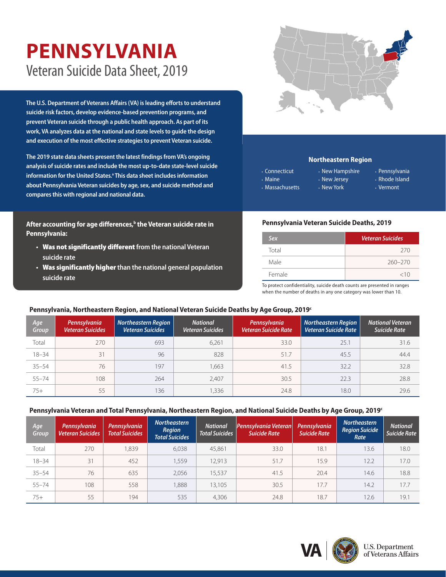# **PENNSYLVANIA** Veteran Suicide Data Sheet, 2019

**The U.S. Department of Veterans Affairs (VA) is leading efforts to understand suicide risk factors, develop evidence-based prevention programs, and prevent Veteran suicide through a public health approach. As part of its work, VA analyzes data at the national and state levels to guide the design and execution of the most effective strategies to prevent Veteran suicide.** 

**The 2019 state data sheets present the latest findings from VA's ongoing analysis of suicide rates and include the most up-to-date state-level suicide information for the United States.[a](#page-1-0) This data sheet includes information about Pennsylvania Veteran suicides by age, sex, and suicide method and compares this with regional and national data.**

After accounting for age differences,<sup>b</sup> the Veteran suicide rate in **Pennsylvania:**

- **•** Was not significantly different **from the national Veteran suicide rate**
- **•** Was significantly higher **than the national general population suicide rate**



## **Northeastern Region**

- Connecticut • Maine
- Massachusetts
- New Hampshire • New Jersey • New York
- Pennsylvania • Rhode Island
- Vermont

### **Pennsylvania Veteran Suicide Deaths, 2019**

| Sex    | <b>Veteran Suicides</b> |
|--------|-------------------------|
| Total  | 270                     |
| Male   | $260 - 270$             |
| Female | <10                     |

To protect confidentiality, suicide death counts are presented in ranges when the number of deaths in any one category was lower than 10.

## **Pennsylvania, Northeastern Region, and National Veteran Suicide Deaths by Age Group, 201[9c](#page-1-1)**

| Age<br>Group | Pennsylvania<br><b>Veteran Suicides</b> | <b>Northeastern Region</b><br><b>Veteran Suicides</b> | <b>National</b><br><b>Veteran Suicides</b> | Pennsylvania<br><b>Veteran Suicide Rate</b> | <b>Northeastern Region</b><br><b>Veteran Suicide Rate</b> | <b>National Veteran</b><br>Suicide Rate |
|--------------|-----------------------------------------|-------------------------------------------------------|--------------------------------------------|---------------------------------------------|-----------------------------------------------------------|-----------------------------------------|
| Total        | 270                                     | 693                                                   | 6,261                                      | 33.0                                        | 25.1                                                      | 31.6                                    |
| $18 - 34$    | 31                                      | 96                                                    | 828                                        | 51.7                                        | 45.5                                                      | 44.4                                    |
| $35 - 54$    | 76                                      | 197                                                   | 1,663                                      | 41.5                                        | 32.2                                                      | 32.8                                    |
| $55 - 74$    | 108                                     | 264                                                   | 2,407                                      | 30.5                                        | 22.3                                                      | 28.8                                    |
| $75+$        | 55                                      | 136                                                   | 1,336                                      | 24.8                                        | 18.0                                                      | 29.6                                    |

#### **Pennsylvania Veteran and Total Pennsylvania, Northeastern Region, and National Suicide Deaths by Age Group, 2019[c](#page-1-1)**

| Age<br>Group | Pennsylvania<br><b>Veteran Suicides</b> | Pennsylvania<br><b>Total Suicides</b> | <b>Northeastern</b><br>Region<br><b>Total Suicides</b> | <b>National</b><br><b>Total Suicides</b> | Pennsylvania Veteran<br><b>Suicide Rate</b> | Pennsylvania<br><b>Suicide Rate</b> | <b>Northeastern</b><br><b>Region Suicide</b><br>Rate | <b>National</b><br>Suicide Rate |
|--------------|-----------------------------------------|---------------------------------------|--------------------------------------------------------|------------------------------------------|---------------------------------------------|-------------------------------------|------------------------------------------------------|---------------------------------|
| Total        | 270                                     | 1,839                                 | 6,038                                                  | 45,861                                   | 33.0                                        | 18.1                                | 13.6                                                 | 18.0                            |
| $18 - 34$    | 31                                      | 452                                   | 1,559                                                  | 12,913                                   | 51.7                                        | 15.9                                | 12.2                                                 | 17.0                            |
| $35 - 54$    | 76                                      | 635                                   | 2,056                                                  | 15.537                                   | 41.5                                        | 20.4                                | 14.6                                                 | 18.8                            |
| $55 - 74$    | 108                                     | 558                                   | 1,888                                                  | 13,105                                   | 30.5                                        | 17.7                                | 14.2                                                 | 17.7                            |
| $75+$        | 55                                      | 194                                   | 535                                                    | 4,306                                    | 24.8                                        | 18.7                                | 12.6                                                 | 19.1                            |